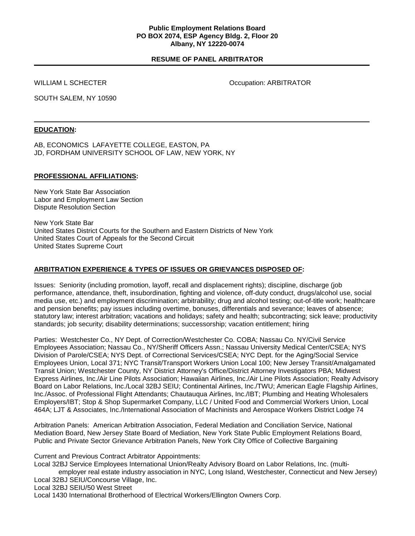### **Public Employment Relations Board PO BOX 2074, ESP Agency Bldg. 2, Floor 20 Albany, NY 12220-0074**

## **RESUME OF PANEL ARBITRATOR**

WILLIAM L SCHECTER **CONFIDENT CONTROL** CONTRATOR Occupation: ARBITRATOR

SOUTH SALEM, NY 10590

### **EDUCATION:**

AB, ECONOMICS LAFAYETTE COLLEGE, EASTON, PA JD, FORDHAM UNIVERSITY SCHOOL OF LAW, NEW YORK, NY

#### **PROFESSIONAL AFFILIATIONS:**

New York State Bar Association Labor and Employment Law Section Dispute Resolution Section

New York State Bar United States District Courts for the Southern and Eastern Districts of New York United States Court of Appeals for the Second Circuit United States Supreme Court

## **ARBITRATION EXPERIENCE & TYPES OF ISSUES OR GRIEVANCES DISPOSED OF:**

Issues: Seniority (including promotion, layoff, recall and displacement rights); discipline, discharge (job performance, attendance, theft, insubordination, fighting and violence, off-duty conduct, drugs/alcohol use, social media use, etc.) and employment discrimination; arbitrability; drug and alcohol testing; out-of-title work; healthcare and pension benefits; pay issues including overtime, bonuses, differentials and severance; leaves of absence; statutory law; interest arbitration; vacations and holidays; safety and health; subcontracting; sick leave; productivity standards; job security; disability determinations; successorship; vacation entitlement; hiring

Parties: Westchester Co., NY Dept. of Correction/Westchester Co. COBA; Nassau Co. NY/Civil Service Employees Association; Nassau Co., NY/Sheriff Officers Assn.; Nassau University Medical Center/CSEA; NYS Division of Parole/CSEA; NYS Dept. of Correctional Services/CSEA; NYC Dept. for the Aging/Social Service Employees Union, Local 371; NYC Transit/Transport Workers Union Local 100; New Jersey Transit/Amalgamated Transit Union; Westchester County, NY District Attorney's Office/District Attorney Investigators PBA; Midwest Express Airlines, Inc./Air Line Pilots Association; Hawaiian Airlines, Inc./Air Line Pilots Association; Realty Advisory Board on Labor Relations, Inc./Local 32BJ SEIU; Continental Airlines, Inc./TWU; American Eagle Flagship Airlines, Inc./Assoc. of Professional Flight Attendants; Chautauqua Airlines, Inc./IBT; Plumbing and Heating Wholesalers Employers/IBT; Stop & Shop Supermarket Company, LLC / United Food and Commercial Workers Union, Local 464A; LJT & Associates, Inc./International Association of Machinists and Aerospace Workers District Lodge 74

Arbitration Panels: American Arbitration Association, Federal Mediation and Conciliation Service, National Mediation Board, New Jersey State Board of Mediation, New York State Public Employment Relations Board, Public and Private Sector Grievance Arbitration Panels, New York City Office of Collective Bargaining

Current and Previous Contract Arbitrator Appointments:

Local 32BJ Service Employees International Union/Realty Advisory Board on Labor Relations, Inc. (multiemployer real estate industry association in NYC, Long Island, Westchester, Connecticut and New Jersey) Local 32BJ SEIU/Concourse Village, Inc.

Local 32BJ SEIU/50 West Street

Local 1430 International Brotherhood of Electrical Workers/Ellington Owners Corp.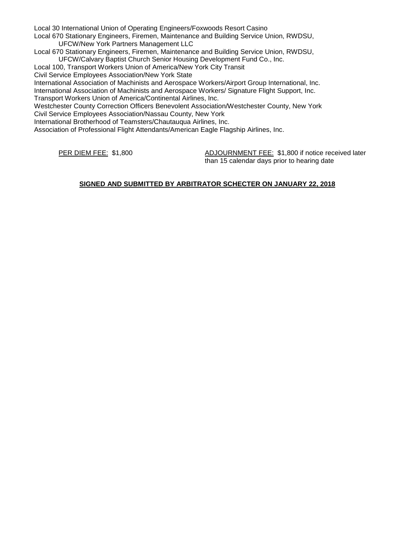Local 30 International Union of Operating Engineers/Foxwoods Resort Casino

Local 670 Stationary Engineers, Firemen, Maintenance and Building Service Union, RWDSU, UFCW/New York Partners Management LLC

Local 670 Stationary Engineers, Firemen, Maintenance and Building Service Union, RWDSU,

UFCW/Calvary Baptist Church Senior Housing Development Fund Co., Inc.

Local 100, Transport Workers Union of America/New York City Transit

Civil Service Employees Association/New York State

International Association of Machinists and Aerospace Workers/Airport Group International, Inc. International Association of Machinists and Aerospace Workers/ Signature Flight Support, Inc.

Transport Workers Union of America/Continental Airlines, Inc.

Westchester County Correction Officers Benevolent Association/Westchester County, New York Civil Service Employees Association/Nassau County, New York

International Brotherhood of Teamsters/Chautauqua Airlines, Inc.

Association of Professional Flight Attendants/American Eagle Flagship Airlines, Inc.

PER DIEM FEE: \$1,800 ADJOURNMENT FEE: \$1,800 if notice received later than 15 calendar days prior to hearing date

# **SIGNED AND SUBMITTED BY ARBITRATOR SCHECTER ON JANUARY 22, 2018**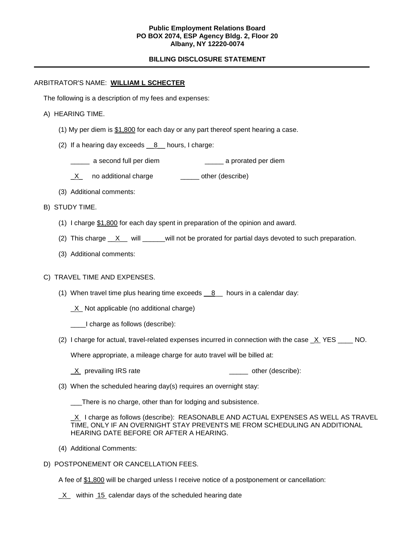## **Public Employment Relations Board PO BOX 2074, ESP Agency Bldg. 2, Floor 20 Albany, NY 12220-0074**

## **BILLING DISCLOSURE STATEMENT**

#### ARBITRATOR'S NAME: **WILLIAM L SCHECTER**

The following is a description of my fees and expenses:

- A) HEARING TIME.
	- (1) My per diem is  $$1,800$  for each day or any part thereof spent hearing a case.
	- (2) If a hearing day exceeds  $\_\_8\_\_$  hours, I charge:
		- \_\_\_\_\_ a second full per diem \_\_\_\_\_ a prorated per diem
		- X no additional charge \_\_\_\_\_\_ other (describe)
	- (3) Additional comments:
- B) STUDY TIME.
	- (1) I charge \$1,800 for each day spent in preparation of the opinion and award.
	- (2) This charge  $X$  will we will not be prorated for partial days devoted to such preparation.
	- (3) Additional comments:

#### C) TRAVEL TIME AND EXPENSES.

- (1) When travel time plus hearing time exceeds  $8$  hours in a calendar day:
	- \_X\_ Not applicable (no additional charge)
	- \_\_\_\_I charge as follows (describe):
- (2) I charge for actual, travel-related expenses incurred in connection with the case  $X$  YES \_\_\_\_ NO.

Where appropriate, a mileage charge for auto travel will be billed at:

- $X$  prevailing IRS rate  $\frac{X}{1}$  other (describe):
- (3) When the scheduled hearing day(s) requires an overnight stay:

\_\_\_There is no charge, other than for lodging and subsistence.

X I charge as follows (describe): REASONABLE AND ACTUAL EXPENSES AS WELL AS TRAVEL TIME, ONLY IF AN OVERNIGHT STAY PREVENTS ME FROM SCHEDULING AN ADDITIONAL HEARING DATE BEFORE OR AFTER A HEARING.

- (4) Additional Comments:
- D) POSTPONEMENT OR CANCELLATION FEES.

A fee of \$1,800 will be charged unless I receive notice of a postponement or cancellation:

 $X$  within 15 calendar days of the scheduled hearing date